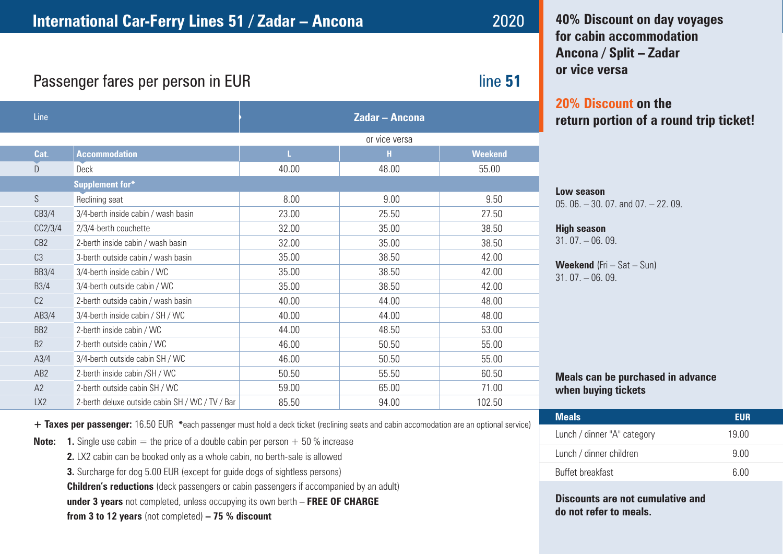# **International Car-Ferry Lines 51 / Zadar – Ancona** 2020

**40% Discount on day voyages for cabin accommodation Ancona / Split – Zadar or vice versa**

# **20% Discount on the return portion of a round trip ticket!**

## **Low season**

05. 06. – 30. 07. and 07. – 22. 09.

#### **High season**

 $31.07 - 06.09$ .

**Weekend** (Fri – Sat – Sun)  $31.07 - 06.09$ .

**Meals can be purchased in advance when buying tickets**

| <b>Meals</b>                | EUR         |
|-----------------------------|-------------|
| Lunch / dinner "A" category | 19 NO       |
| Lunch / dinner children     | 9 Q Q       |
| <b>Buffet breakfast</b>     | <u>  በሀ</u> |

**Discounts are not cumulative and do not refer to meals.**

# Passenger fares per person in EUR **interpreterate and the set of the set of the set of the set of the set of the set of the set of the set of the set of the set of the set of the set of the set of the set of the set of the**

| Line            |                                                 | <b>Zadar - Ancona</b> |       |                |
|-----------------|-------------------------------------------------|-----------------------|-------|----------------|
|                 |                                                 | or vice versa         |       |                |
| Cat.            | <b>Accommodation</b>                            | L                     | н     | <b>Weekend</b> |
| D               | Deck                                            | 40.00                 | 48.00 | 55.00          |
|                 | <b>Supplement for*</b>                          |                       |       |                |
| S               | Reclining seat                                  | 8.00                  | 9.00  | 9.50           |
| CB3/4           | 3/4-berth inside cabin / wash basin             | 23.00                 | 25.50 | 27.50          |
| CC2/3/4         | 2/3/4-berth couchette                           | 32.00                 | 35.00 | 38.50          |
| CB <sub>2</sub> | 2-berth inside cabin / wash basin               | 32.00                 | 35.00 | 38.50          |
| C <sub>3</sub>  | 3-berth outside cabin / wash basin              | 35.00                 | 38.50 | 42.00          |
| <b>BB3/4</b>    | 3/4-berth inside cabin / WC                     | 35.00                 | 38.50 | 42.00          |
| <b>B3/4</b>     | 3/4-berth outside cabin / WC                    | 35.00                 | 38.50 | 42.00          |
| C <sub>2</sub>  | 2-berth outside cabin / wash basin              | 40.00                 | 44.00 | 48.00          |
| AB3/4           | 3/4-berth inside cabin / SH / WC                | 40.00                 | 44.00 | 48.00          |
| BB <sub>2</sub> | 2-berth inside cabin / WC                       | 44.00                 | 48.50 | 53.00          |
| B <sub>2</sub>  | 2-berth outside cabin / WC                      | 46.00                 | 50.50 | 55.00          |
| A3/4            | 3/4-berth outside cabin SH / WC                 | 46.00                 | 50.50 | 55.00          |
| AB <sub>2</sub> | 2-berth inside cabin / SH / WC                  | 50.50                 | 55.50 | 60.50          |
| A2              | 2-berth outside cabin SH / WC                   | 59.00                 | 65.00 | 71.00          |
| LX <sub>2</sub> | 2-berth deluxe outside cabin SH / WC / TV / Bar | 85.50                 | 94.00 | 102.50         |

**+ Taxes per passenger:** 16.50 EUR **\***each passenger must hold a deck ticket (reclining seats and cabin accomodation are an optional service)

| <b>Note:</b> 1. Single use cabin = the price of a double cabin per person $+50$ % increase |
|--------------------------------------------------------------------------------------------|
|--------------------------------------------------------------------------------------------|

- **2.** LX2 cabin can be booked only as a whole cabin, no berth-sale is allowed
- **3.** Surcharge for dog 5.00 EUR (except for guide dogs of sightless persons)

**Children's reductions** (deck passengers or cabin passengers if accompanied by an adult)

**under 3 years** not completed, unless occupying its own berth – **FREE OF CHARGE**

**from 3 to 12 years** (not completed) **– 75 % discount**